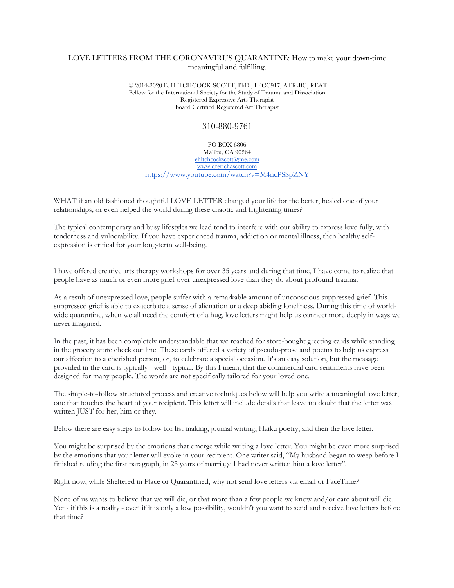## LOVE LETTERS FROM THE CORONAVIRUS QUARANTINE: How to make your down-time meaningful and fulfilling.

© 2014-2020 E. HITCHCOCK SCOTT, PhD., LPCC917, ATR-BC, REAT Fellow for the International Society for the Study of Trauma and Dissociation Registered Expressive Arts Therapist Board Certified Registered Art Therapist

## 310-880-9761

PO BOX 6806 Malibu, CA 90264 ehitchcockscott@me.com www.drerichascott.com https://www.youtube.com/watch?v=M4ncPSSpZNY

WHAT if an old fashioned thoughtful LOVE LETTER changed your life for the better, healed one of your relationships, or even helped the world during these chaotic and frightening times?

The typical contemporary and busy lifestyles we lead tend to interfere with our ability to express love fully, with tenderness and vulnerability. If you have experienced trauma, addiction or mental illness, then healthy selfexpression is critical for your long-term well-being.

I have offered creative arts therapy workshops for over 35 years and during that time, I have come to realize that people have as much or even more grief over unexpressed love than they do about profound trauma.

As a result of unexpressed love, people suffer with a remarkable amount of unconscious suppressed grief. This suppressed grief is able to exacerbate a sense of alienation or a deep abiding loneliness. During this time of worldwide quarantine, when we all need the comfort of a hug, love letters might help us connect more deeply in ways we never imagined.

In the past, it has been completely understandable that we reached for store-bought greeting cards while standing in the grocery store check out line. These cards offered a variety of pseudo-prose and poems to help us express our affection to a cherished person, or, to celebrate a special occasion. It's an easy solution, but the message provided in the card is typically - well - typical. By this I mean, that the commercial card sentiments have been designed for many people. The words are not specifically tailored for your loved one.

The simple-to-follow structured process and creative techniques below will help you write a meaningful love letter, one that touches the heart of your recipient. This letter will include details that leave no doubt that the letter was written JUST for her, him or they.

Below there are easy steps to follow for list making, journal writing, Haiku poetry, and then the love letter.

You might be surprised by the emotions that emerge while writing a love letter. You might be even more surprised by the emotions that your letter will evoke in your recipient. One writer said, "My husband began to weep before I finished reading the first paragraph, in 25 years of marriage I had never written him a love letter".

Right now, while Sheltered in Place or Quarantined, why not send love letters via email or FaceTime?

None of us wants to believe that we will die, or that more than a few people we know and/or care about will die. Yet - if this is a reality - even if it is only a low possibility, wouldn't you want to send and receive love letters before that time?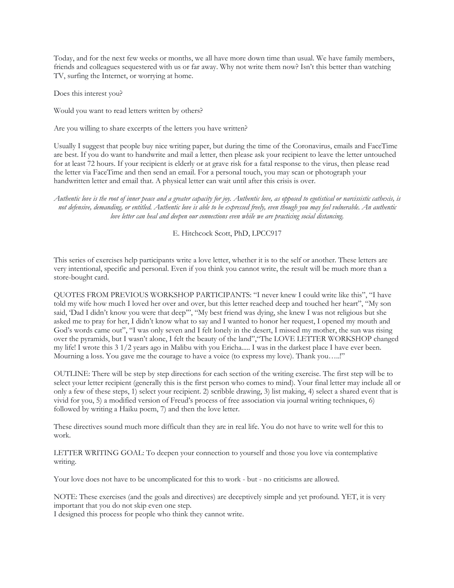Today, and for the next few weeks or months, we all have more down time than usual. We have family members, friends and colleagues sequestered with us or far away. Why not write them now? Isn't this better than watching TV, surfing the Internet, or worrying at home.

Does this interest you?

Would you want to read letters written by others?

Are you willing to share excerpts of the letters you have written?

Usually I suggest that people buy nice writing paper, but during the time of the Coronavirus, emails and FaceTime are best. If you do want to handwrite and mail a letter, then please ask your recipient to leave the letter untouched for at least 72 hours. If your recipient is elderly or at grave risk for a fatal response to the virus, then please read the letter via FaceTime and then send an email. For a personal touch, you may scan or photograph your handwritten letter and email that. A physical letter can wait until after this crisis is over.

*Authentic love is the root of inner peace and a greater capacity for joy. Authentic love, as opposed to egotistical or narcissistic cathexis, is not defensive, demanding, or entitled. Authentic love is able to be expressed freely, even though you may feel vulnerable. An authentic love letter can heal and deepen our connections even while we are practicing social distancing.*

E. Hitchcock Scott, PhD, LPCC917

This series of exercises help participants write a love letter, whether it is to the self or another. These letters are very intentional, specific and personal. Even if you think you cannot write, the result will be much more than a store-bought card.

QUOTES FROM PREVIOUS WORKSHOP PARTICIPANTS: "I never knew I could write like this", "I have told my wife how much I loved her over and over, but this letter reached deep and touched her heart", "My son said, 'Dad I didn't know you were that deep'", "My best friend was dying, she knew I was not religious but she asked me to pray for her, I didn't know what to say and I wanted to honor her request, I opened my mouth and God's words came out", "I was only seven and I felt lonely in the desert, I missed my mother, the sun was rising over the pyramids, but I wasn't alone, I felt the beauty of the land","The LOVE LETTER WORKSHOP changed my life! I wrote this 3 1/2 years ago in Malibu with you Ericha..... I was in the darkest place I have ever been. Mourning a loss. You gave me the courage to have a voice (to express my love). Thank you…..!"

OUTLINE: There will be step by step directions for each section of the writing exercise. The first step will be to select your letter recipient (generally this is the first person who comes to mind). Your final letter may include all or only a few of these steps, 1) select your recipient. 2) scribble drawing, 3) list making, 4) select a shared event that is vivid for you, 5) a modified version of Freud's process of free association via journal writing techniques, 6) followed by writing a Haiku poem, 7) and then the love letter.

These directives sound much more difficult than they are in real life. You do not have to write well for this to work.

LETTER WRITING GOAL: To deepen your connection to yourself and those you love via contemplative writing.

Your love does not have to be uncomplicated for this to work - but - no criticisms are allowed.

NOTE: These exercises (and the goals and directives) are deceptively simple and yet profound. YET, it is very important that you do not skip even one step.

I designed this process for people who think they cannot write.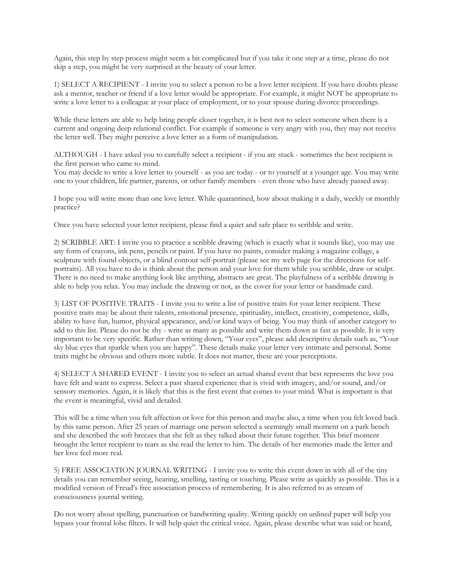Again, this step by step process might seem a bit complicated but if you take it one step at a time, please do not skip a step, you might be very surprised at the beauty of your letter.

1) SELECT A RECIPIENT - I invite you to select a person to be a love letter recipient. If you have doubts please ask a mentor, teacher or friend if a love letter would be appropriate. For example, it might NOT be appropriate to write a love letter to a colleague at your place of employment, or to your spouse during divorce proceedings.

While these letters are able to help bring people closer together, it is best not to select someone when there is a current and ongoing deep relational conflict. For example if someone is very angry with you, they may not receive the letter well. They might perceive a love letter as a form of manipulation.

ALTHOUGH - I have asked you to carefully select a recipient - if you are stuck - sometimes the best recipient is the first person who came to mind.

You may decide to write a love letter to yourself - as you are today - or to yourself at a younger age. You may write one to your children, life partner, parents, or other family members - even those who have already passed away.

I hope you will write more than one love letter. While quarantined, how about making it a daily, weekly or monthly practice?

Once you have selected your letter recipient, please find a quiet and safe place to scribble and write.

2) SCRIBBLE ART: I invite you to practice a scribble drawing (which is exactly what it sounds like), you may use any form of crayons, ink pens, pencils or paint. If you have no paints, consider making a magazine collage, a sculpture with found objects, or a blind contour self-portrait (please see my web page for the directions for selfportraits). All you have to do is think about the person and your love for them while you scribble, draw or sculpt. There is no need to make anything look like anything, abstracts are great. The playfulness of a scribble drawing is able to help you relax. You may include the drawing or not, as the cover for your letter or handmade card.

3) LIST OF POSITIVE TRAITS - I invite you to write a list of positive traits for your letter recipient. These positive traits may be about their talents, emotional presence, spirituality, intellect, creativity, competence, skills, ability to have fun, humor, physical appearance, and/or kind ways of being. You may think of another category to add to this list. Please do not be shy - write as many as possible and write them down as fast as possible. It is very important to be very specific. Rather than writing down, "Your eyes", please add descriptive details such as, "Your sky blue eyes that sparkle when you are happy". These details make your letter very intimate and personal. Some traits might be obvious and others more subtle. It does not matter, these are your perceptions.

4) SELECT A SHARED EVENT - I invite you to select an actual shared event that best represents the love you have felt and want to express. Select a past shared experience that is vivid with imagery, and/or sound, and/or sensory memories. Again, it is likely that this is the first event that comes to your mind. What is important is that the event is meaningful, vivid and detailed.

This will be a time when you felt affection or love for this person and maybe also, a time when you felt loved back by this same person. After 25 years of marriage one person selected a seemingly small moment on a park bench and she described the soft breezes that she felt as they talked about their future together. This brief moment brought the letter recipient to tears as she read the letter to him. The details of her memories made the letter and her love feel more real.

5) FREE ASSOCIATION JOURNAL WRITING - I invite you to write this event down in with all of the tiny details you can remember seeing, hearing, smelling, tasting or touching. Please write as quickly as possible. This is a modified version of Freud's free association process of remembering. It is also referred to as stream of consciousness journal writing.

Do not worry about spelling, punctuation or handwriting quality. Writing quickly on unlined paper will help you bypass your frontal lobe filters. It will help quiet the critical voice. Again, please describe what was said or heard,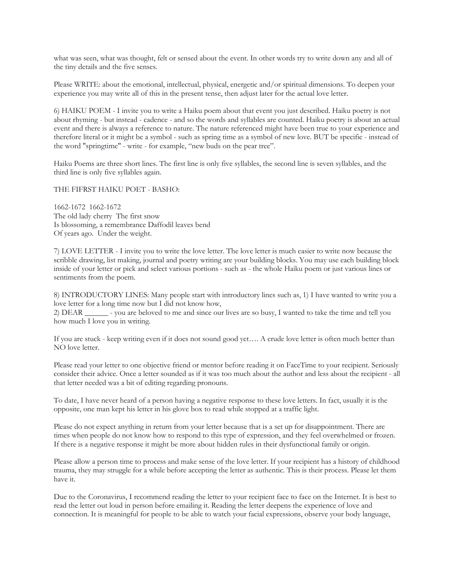what was seen, what was thought, felt or sensed about the event. In other words try to write down any and all of the tiny details and the five senses.

Please WRITE: about the emotional, intellectual, physical, energetic and/or spiritual dimensions. To deepen your experience you may write all of this in the present tense, then adjust later for the actual love letter.

6) HAIKU POEM - I invite you to write a Haiku poem about that event you just described. Haiku poetry is not about rhyming - but instead - cadence - and so the words and syllables are counted. Haiku poetry is about an actual event and there is always a reference to nature. The nature referenced might have been true to your experience and therefore literal or it might be a symbol - such as spring time as a symbol of new love. BUT be specific - instead of the word "springtime" - write - for example, "new buds on the pear tree".

Haiku Poems are three short lines. The first line is only five syllables, the second line is seven syllables, and the third line is only five syllables again.

THE FIFRST HAIKU POET - BASHO:

1662-1672 1662-1672 The old lady cherry The first snow Is blossoming, a remembrance Daffodil leaves bend Of years ago. Under the weight.

7) LOVE LETTER - I invite you to write the love letter. The love letter is much easier to write now because the scribble drawing, list making, journal and poetry writing are your building blocks. You may use each building block inside of your letter or pick and select various portions - such as - the whole Haiku poem or just various lines or sentiments from the poem.

8) INTRODUCTORY LINES: Many people start with introductory lines such as, 1) I have wanted to write you a love letter for a long time now but I did not know how,

2) DEAR \_\_\_\_\_\_ - you are beloved to me and since our lives are so busy, I wanted to take the time and tell you how much I love you in writing.

If you are stuck - keep writing even if it does not sound good yet…. A crude love letter is often much better than NO love letter.

Please read your letter to one objective friend or mentor before reading it on FaceTime to your recipient. Seriously consider their advice. Once a letter sounded as if it was too much about the author and less about the recipient - all that letter needed was a bit of editing regarding pronouns.

To date, I have never heard of a person having a negative response to these love letters. In fact, usually it is the opposite, one man kept his letter in his glove box to read while stopped at a traffic light.

Please do not expect anything in return from your letter because that is a set up for disappointment. There are times when people do not know how to respond to this type of expression, and they feel overwhelmed or frozen. If there is a negative response it might be more about hidden rules in their dysfunctional family or origin.

Please allow a person time to process and make sense of the love letter. If your recipient has a history of childhood trauma, they may struggle for a while before accepting the letter as authentic. This is their process. Please let them have it.

Due to the Coronavirus, I recommend reading the letter to your recipient face to face on the Internet. It is best to read the letter out loud in person before emailing it. Reading the letter deepens the experience of love and connection. It is meaningful for people to be able to watch your facial expressions, observe your body language,